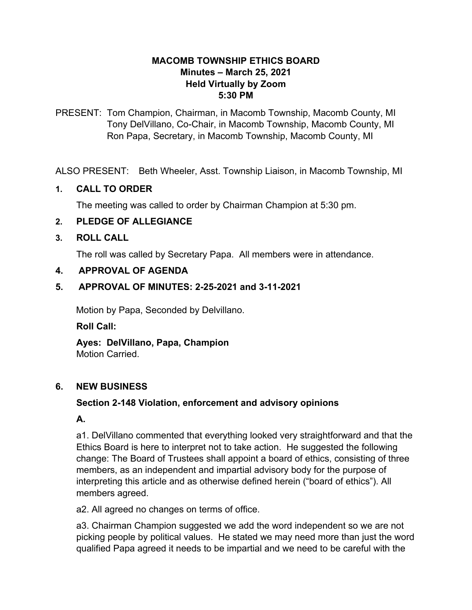#### **MACOMB TOWNSHIP ETHICS BOARD Minutes – March 25, 2021 Held Virtually by Zoom 5:30 PM**

PRESENT: Tom Champion, Chairman, in Macomb Township, Macomb County, MI Tony DelVillano, Co-Chair, in Macomb Township, Macomb County, MI Ron Papa, Secretary, in Macomb Township, Macomb County, MI

ALSO PRESENT: Beth Wheeler, Asst. Township Liaison, in Macomb Township, MI

### **1. CALL TO ORDER**

The meeting was called to order by Chairman Champion at 5:30 pm.

# **2. PLEDGE OF ALLEGIANCE**

#### **3. ROLL CALL**

The roll was called by Secretary Papa. All members were in attendance.

### **4. APPROVAL OF AGENDA**

#### **5. APPROVAL OF MINUTES: 2-25-2021 and 3-11-2021**

Motion by Papa, Seconded by Delvillano.

#### **Roll Call:**

**Ayes: DelVillano, Papa, Champion** Motion Carried.

### **6. NEW BUSINESS**

### **Section 2-148 Violation, enforcement and advisory opinions**

### **A.**

a1. DelVillano commented that everything looked very straightforward and that the Ethics Board is here to interpret not to take action. He suggested the following change: The Board of Trustees shall appoint a board of ethics, consisting of three members, as an independent and impartial advisory body for the purpose of interpreting this article and as otherwise defined herein ("board of ethics"). All members agreed.

a2. All agreed no changes on terms of office.

a3. Chairman Champion suggested we add the word independent so we are not picking people by political values. He stated we may need more than just the word qualified Papa agreed it needs to be impartial and we need to be careful with the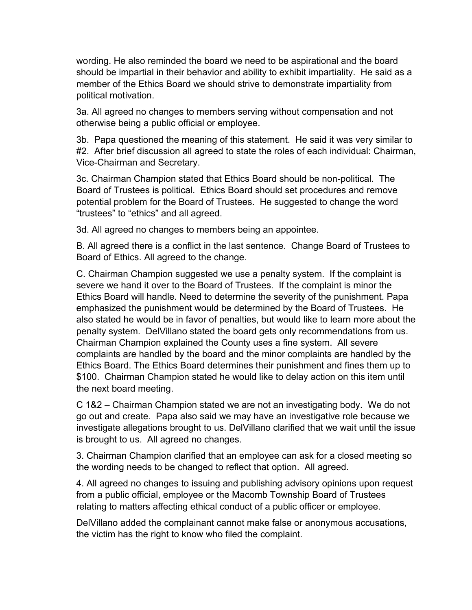wording. He also reminded the board we need to be aspirational and the board should be impartial in their behavior and ability to exhibit impartiality. He said as a member of the Ethics Board we should strive to demonstrate impartiality from political motivation.

3a. All agreed no changes to members serving without compensation and not otherwise being a public official or employee.

3b. Papa questioned the meaning of this statement. He said it was very similar to #2. After brief discussion all agreed to state the roles of each individual: Chairman, Vice-Chairman and Secretary.

3c. Chairman Champion stated that Ethics Board should be non-political. The Board of Trustees is political. Ethics Board should set procedures and remove potential problem for the Board of Trustees. He suggested to change the word "trustees" to "ethics" and all agreed.

3d. All agreed no changes to members being an appointee.

B. All agreed there is a conflict in the last sentence. Change Board of Trustees to Board of Ethics. All agreed to the change.

C. Chairman Champion suggested we use a penalty system. If the complaint is severe we hand it over to the Board of Trustees. If the complaint is minor the Ethics Board will handle. Need to determine the severity of the punishment. Papa emphasized the punishment would be determined by the Board of Trustees. He also stated he would be in favor of penalties, but would like to learn more about the penalty system. DelVillano stated the board gets only recommendations from us. Chairman Champion explained the County uses a fine system. All severe complaints are handled by the board and the minor complaints are handled by the Ethics Board. The Ethics Board determines their punishment and fines them up to \$100. Chairman Champion stated he would like to delay action on this item until the next board meeting.

C 1&2 – Chairman Champion stated we are not an investigating body. We do not go out and create. Papa also said we may have an investigative role because we investigate allegations brought to us. DelVillano clarified that we wait until the issue is brought to us. All agreed no changes.

3. Chairman Champion clarified that an employee can ask for a closed meeting so the wording needs to be changed to reflect that option. All agreed.

4. All agreed no changes to issuing and publishing advisory opinions upon request from a public official, employee or the Macomb Township Board of Trustees relating to matters affecting ethical conduct of a public officer or employee.

DelVillano added the complainant cannot make false or anonymous accusations, the victim has the right to know who filed the complaint.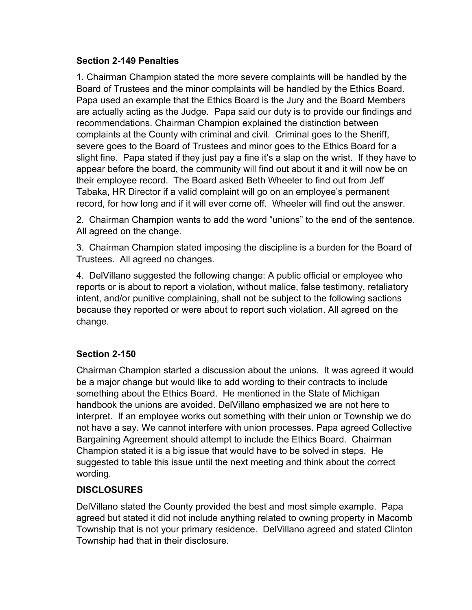#### **Section 2-149 Penalties**

1. Chairman Champion stated the more severe complaints will be handled by the Board of Trustees and the minor complaints will be handled by the Ethics Board. Papa used an example that the Ethics Board is the Jury and the Board Members are actually acting as the Judge. Papa said our duty is to provide our findings and recommendations. Chairman Champion explained the distinction between complaints at the County with criminal and civil. Criminal goes to the Sheriff, severe goes to the Board of Trustees and minor goes to the Ethics Board for a slight fine. Papa stated if they just pay a fine it's a slap on the wrist. If they have to appear before the board, the community will find out about it and it will now be on their employee record. The Board asked Beth Wheeler to find out from Jeff Tabaka, HR Director if a valid complaint will go on an employee's permanent record, for how long and if it will ever come off. Wheeler will find out the answer.

2. Chairman Champion wants to add the word "unions" to the end of the sentence. All agreed on the change.

3. Chairman Champion stated imposing the discipline is a burden for the Board of Trustees. All agreed no changes.

4. DelVillano suggested the following change: A public official or employee who reports or is about to report a violation, without malice, false testimony, retaliatory intent, and/or punitive complaining, shall not be subject to the following sactions because they reported or were about to report such violation. All agreed on the change.

### **Section 2-150**

Chairman Champion started a discussion about the unions. It was agreed it would be a major change but would like to add wording to their contracts to include something about the Ethics Board. He mentioned in the State of Michigan handbook the unions are avoided. DelVillano emphasized we are not here to interpret. If an employee works out something with their union or Township we do not have a say. We cannot interfere with union processes. Papa agreed Collective Bargaining Agreement should attempt to include the Ethics Board. Chairman Champion stated it is a big issue that would have to be solved in steps. He suggested to table this issue until the next meeting and think about the correct wording.

# **DISCLOSURES**

DelVillano stated the County provided the best and most simple example. Papa agreed but stated it did not include anything related to owning property in Macomb Township that is not your primary residence. DelVillano agreed and stated Clinton Township had that in their disclosure.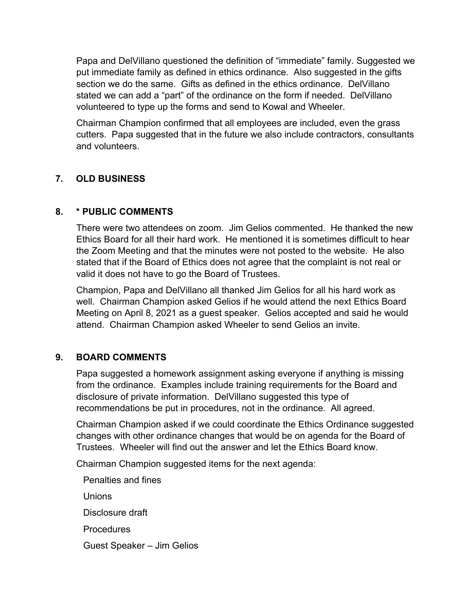Papa and DelVillano questioned the definition of "immediate" family. Suggested we put immediate family as defined in ethics ordinance. Also suggested in the gifts section we do the same. Gifts as defined in the ethics ordinance. DelVillano stated we can add a "part" of the ordinance on the form if needed. DelVillano volunteered to type up the forms and send to Kowal and Wheeler.

Chairman Champion confirmed that all employees are included, even the grass cutters. Papa suggested that in the future we also include contractors, consultants and volunteers.

# **7. OLD BUSINESS**

#### **8. \* PUBLIC COMMENTS**

There were two attendees on zoom. Jim Gelios commented. He thanked the new Ethics Board for all their hard work. He mentioned it is sometimes difficult to hear the Zoom Meeting and that the minutes were not posted to the website. He also stated that if the Board of Ethics does not agree that the complaint is not real or valid it does not have to go the Board of Trustees.

Champion, Papa and DelVillano all thanked Jim Gelios for all his hard work as well. Chairman Champion asked Gelios if he would attend the next Ethics Board Meeting on April 8, 2021 as a guest speaker. Gelios accepted and said he would attend. Chairman Champion asked Wheeler to send Gelios an invite.

### **9. BOARD COMMENTS**

Papa suggested a homework assignment asking everyone if anything is missing from the ordinance. Examples include training requirements for the Board and disclosure of private information. DelVillano suggested this type of recommendations be put in procedures, not in the ordinance. All agreed.

Chairman Champion asked if we could coordinate the Ethics Ordinance suggested changes with other ordinance changes that would be on agenda for the Board of Trustees. Wheeler will find out the answer and let the Ethics Board know.

Chairman Champion suggested items for the next agenda:

Penalties and fines Unions Disclosure draft **Procedures** Guest Speaker – Jim Gelios